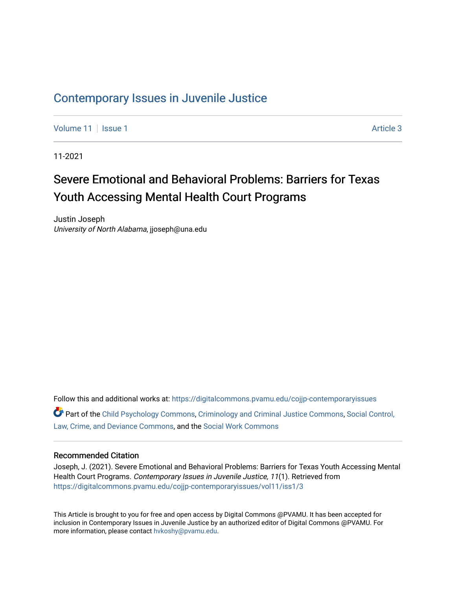## [Contemporary Issues in Juvenile Justice](https://digitalcommons.pvamu.edu/cojjp-contemporaryissues)

[Volume 11](https://digitalcommons.pvamu.edu/cojjp-contemporaryissues/vol11) | [Issue 1](https://digitalcommons.pvamu.edu/cojjp-contemporaryissues/vol11/iss1) Article 3

11-2021

# Severe Emotional and Behavioral Problems: Barriers for Texas Youth Accessing Mental Health Court Programs

Justin Joseph University of North Alabama, jjoseph@una.edu

Follow this and additional works at: [https://digitalcommons.pvamu.edu/cojjp-contemporaryissues](https://digitalcommons.pvamu.edu/cojjp-contemporaryissues?utm_source=digitalcommons.pvamu.edu%2Fcojjp-contemporaryissues%2Fvol11%2Fiss1%2F3&utm_medium=PDF&utm_campaign=PDFCoverPages)  Part of the [Child Psychology Commons,](http://network.bepress.com/hgg/discipline/1023?utm_source=digitalcommons.pvamu.edu%2Fcojjp-contemporaryissues%2Fvol11%2Fiss1%2F3&utm_medium=PDF&utm_campaign=PDFCoverPages) [Criminology and Criminal Justice Commons](http://network.bepress.com/hgg/discipline/367?utm_source=digitalcommons.pvamu.edu%2Fcojjp-contemporaryissues%2Fvol11%2Fiss1%2F3&utm_medium=PDF&utm_campaign=PDFCoverPages), [Social Control,](http://network.bepress.com/hgg/discipline/429?utm_source=digitalcommons.pvamu.edu%2Fcojjp-contemporaryissues%2Fvol11%2Fiss1%2F3&utm_medium=PDF&utm_campaign=PDFCoverPages)  [Law, Crime, and Deviance Commons](http://network.bepress.com/hgg/discipline/429?utm_source=digitalcommons.pvamu.edu%2Fcojjp-contemporaryissues%2Fvol11%2Fiss1%2F3&utm_medium=PDF&utm_campaign=PDFCoverPages), and the [Social Work Commons](http://network.bepress.com/hgg/discipline/713?utm_source=digitalcommons.pvamu.edu%2Fcojjp-contemporaryissues%2Fvol11%2Fiss1%2F3&utm_medium=PDF&utm_campaign=PDFCoverPages)

#### Recommended Citation

Joseph, J. (2021). Severe Emotional and Behavioral Problems: Barriers for Texas Youth Accessing Mental Health Court Programs. Contemporary Issues in Juvenile Justice, 11(1). Retrieved from [https://digitalcommons.pvamu.edu/cojjp-contemporaryissues/vol11/iss1/3](https://digitalcommons.pvamu.edu/cojjp-contemporaryissues/vol11/iss1/3?utm_source=digitalcommons.pvamu.edu%2Fcojjp-contemporaryissues%2Fvol11%2Fiss1%2F3&utm_medium=PDF&utm_campaign=PDFCoverPages) 

This Article is brought to you for free and open access by Digital Commons @PVAMU. It has been accepted for inclusion in Contemporary Issues in Juvenile Justice by an authorized editor of Digital Commons @PVAMU. For more information, please contact [hvkoshy@pvamu.edu.](mailto:hvkoshy@pvamu.edu)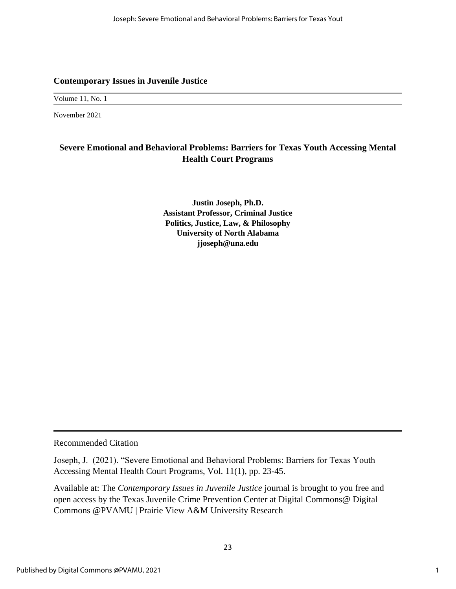### **Contemporary Issues in Juvenile Justice**

Volume 11, No. 1

November 2021

## **Severe Emotional and Behavioral Problems: Barriers for Texas Youth Accessing Mental Health Court Programs**

**Justin Joseph, Ph.D. Assistant Professor, Criminal Justice Politics, Justice, Law, & Philosophy University of North Alabama jjoseph@una.edu**

Recommended Citation

Joseph, J. (2021). "Severe Emotional and Behavioral Problems: Barriers for Texas Youth Accessing Mental Health Court Programs, Vol. 11(1), pp. 23-45.

Available at: The *Contemporary Issues in Juvenile Justice* journal is brought to you free and open access by the Texas Juvenile Crime Prevention Center at Digital Commons@ [Digital](https://digitalcommons.pvamu.edu/)  [Commons @PVAMU | Prairie View A&M University Research](https://digitalcommons.pvamu.edu/)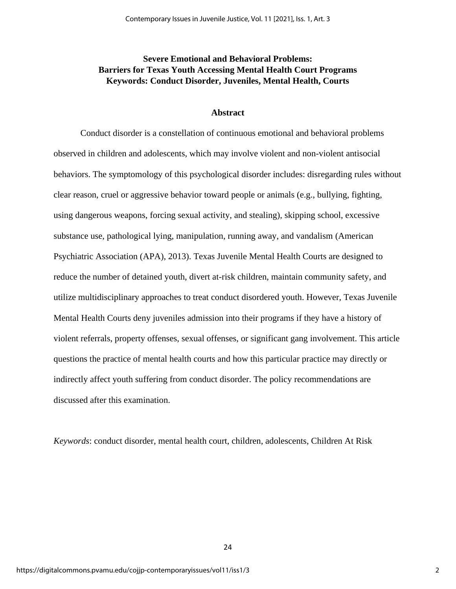## **Severe Emotional and Behavioral Problems: Barriers for Texas Youth Accessing Mental Health Court Programs Keywords: Conduct Disorder, Juveniles, Mental Health, Courts**

#### **Abstract**

Conduct disorder is a constellation of continuous emotional and behavioral problems observed in children and adolescents, which may involve violent and non-violent antisocial behaviors. The symptomology of this psychological disorder includes: disregarding rules without clear reason, cruel or aggressive behavior toward people or animals (e.g., bullying, fighting, using dangerous weapons, forcing sexual activity, and stealing), skipping school, excessive substance use, pathological lying, manipulation, running away, and vandalism (American Psychiatric Association (APA), 2013). Texas Juvenile Mental Health Courts are designed to reduce the number of detained youth, divert at-risk children, maintain community safety, and utilize multidisciplinary approaches to treat conduct disordered youth. However, Texas Juvenile Mental Health Courts deny juveniles admission into their programs if they have a history of violent referrals, property offenses, sexual offenses, or significant gang involvement. This article questions the practice of mental health courts and how this particular practice may directly or indirectly affect youth suffering from conduct disorder. The policy recommendations are discussed after this examination.

*Keywords*: conduct disorder, mental health court, children, adolescents, Children At Risk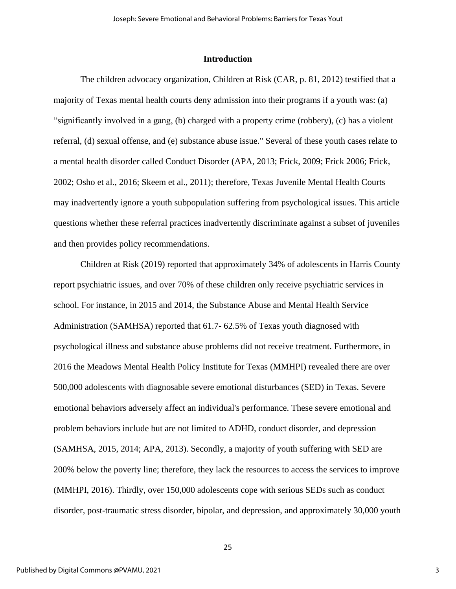#### **Introduction**

The children advocacy organization, Children at Risk (CAR, p. 81, 2012) testified that a majority of Texas mental health courts deny admission into their programs if a youth was: (a) "significantly involved in a gang, (b) charged with a property crime (robbery), (c) has a violent referral, (d) sexual offense, and (e) substance abuse issue." Several of these youth cases relate to a mental health disorder called Conduct Disorder (APA, 2013; Frick, 2009; Frick 2006; Frick, 2002; Osho et al., 2016; Skeem et al., 2011); therefore, Texas Juvenile Mental Health Courts may inadvertently ignore a youth subpopulation suffering from psychological issues. This article questions whether these referral practices inadvertently discriminate against a subset of juveniles and then provides policy recommendations.

Children at Risk (2019) reported that approximately 34% of adolescents in Harris County report psychiatric issues, and over 70% of these children only receive psychiatric services in school. For instance, in 2015 and 2014, the Substance Abuse and Mental Health Service Administration (SAMHSA) reported that 61.7- 62.5% of Texas youth diagnosed with psychological illness and substance abuse problems did not receive treatment. Furthermore, in 2016 the Meadows Mental Health Policy Institute for Texas (MMHPI) revealed there are over 500,000 adolescents with diagnosable severe emotional disturbances (SED) in Texas. Severe emotional behaviors adversely affect an individual's performance. These severe emotional and problem behaviors include but are not limited to ADHD, conduct disorder, and depression (SAMHSA, 2015, 2014; APA, 2013). Secondly, a majority of youth suffering with SED are 200% below the poverty line; therefore, they lack the resources to access the services to improve (MMHPI, 2016). Thirdly, over 150,000 adolescents cope with serious SEDs such as conduct disorder, post-traumatic stress disorder, bipolar, and depression, and approximately 30,000 youth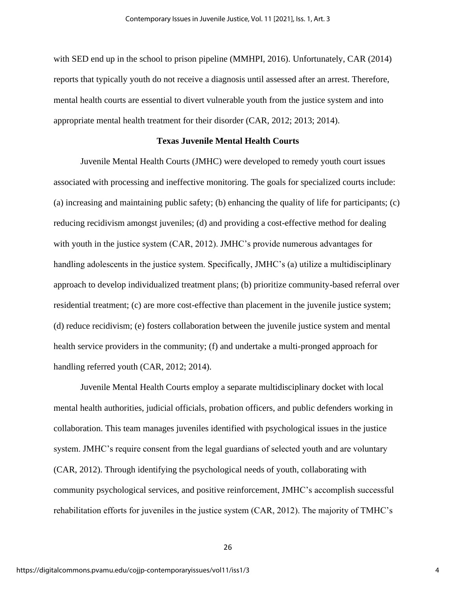with SED end up in the school to prison pipeline (MMHPI, 2016). Unfortunately, CAR (2014) reports that typically youth do not receive a diagnosis until assessed after an arrest. Therefore, mental health courts are essential to divert vulnerable youth from the justice system and into appropriate mental health treatment for their disorder (CAR, 2012; 2013; 2014).

#### **Texas Juvenile Mental Health Courts**

Juvenile Mental Health Courts (JMHC) were developed to remedy youth court issues associated with processing and ineffective monitoring. The goals for specialized courts include: (a) increasing and maintaining public safety; (b) enhancing the quality of life for participants; (c) reducing recidivism amongst juveniles; (d) and providing a cost-effective method for dealing with youth in the justice system (CAR, 2012). JMHC's provide numerous advantages for handling adolescents in the justice system. Specifically, JMHC's (a) utilize a multidisciplinary approach to develop individualized treatment plans; (b) prioritize community-based referral over residential treatment; (c) are more cost-effective than placement in the juvenile justice system; (d) reduce recidivism; (e) fosters collaboration between the juvenile justice system and mental health service providers in the community; (f) and undertake a multi-pronged approach for handling referred youth (CAR, 2012; 2014).

Juvenile Mental Health Courts employ a separate multidisciplinary docket with local mental health authorities, judicial officials, probation officers, and public defenders working in collaboration. This team manages juveniles identified with psychological issues in the justice system. JMHC's require consent from the legal guardians of selected youth and are voluntary (CAR, 2012). Through identifying the psychological needs of youth, collaborating with community psychological services, and positive reinforcement, JMHC's accomplish successful rehabilitation efforts for juveniles in the justice system (CAR, 2012). The majority of TMHC's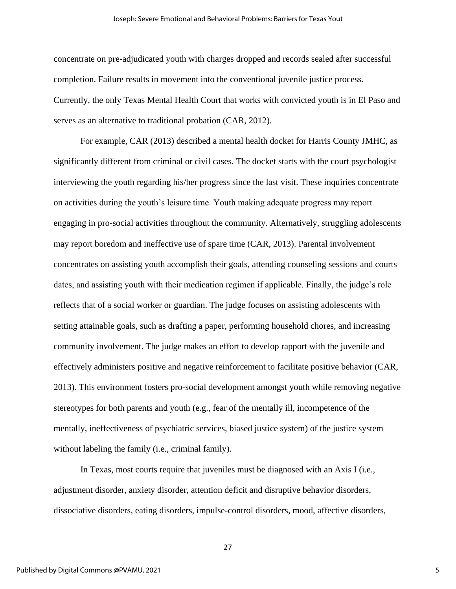concentrate on pre-adjudicated youth with charges dropped and records sealed after successful completion. Failure results in movement into the conventional juvenile justice process. Currently, the only Texas Mental Health Court that works with convicted youth is in El Paso and serves as an alternative to traditional probation (CAR, 2012).

For example, CAR (2013) described a mental health docket for Harris County JMHC, as significantly different from criminal or civil cases. The docket starts with the court psychologist interviewing the youth regarding his/her progress since the last visit. These inquiries concentrate on activities during the youth's leisure time. Youth making adequate progress may report engaging in pro-social activities throughout the community. Alternatively, struggling adolescents may report boredom and ineffective use of spare time (CAR, 2013). Parental involvement concentrates on assisting youth accomplish their goals, attending counseling sessions and courts dates, and assisting youth with their medication regimen if applicable. Finally, the judge's role reflects that of a social worker or guardian. The judge focuses on assisting adolescents with setting attainable goals, such as drafting a paper, performing household chores, and increasing community involvement. The judge makes an effort to develop rapport with the juvenile and effectively administers positive and negative reinforcement to facilitate positive behavior (CAR, 2013). This environment fosters pro-social development amongst youth while removing negative stereotypes for both parents and youth (e.g., fear of the mentally ill, incompetence of the mentally, ineffectiveness of psychiatric services, biased justice system) of the justice system without labeling the family (i.e., criminal family).

In Texas, most courts require that juveniles must be diagnosed with an Axis I (i.e., adjustment disorder, anxiety disorder, attention deficit and disruptive behavior disorders, dissociative disorders, eating disorders, impulse-control disorders, mood, affective disorders,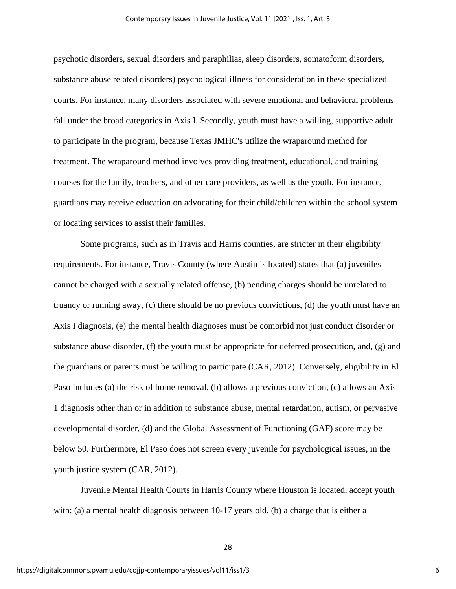psychotic disorders, sexual disorders and paraphilias, sleep disorders, somatoform disorders, substance abuse related disorders) psychological illness for consideration in these specialized courts. For instance, many disorders associated with severe emotional and behavioral problems fall under the broad categories in Axis I. Secondly, youth must have a willing, supportive adult to participate in the program, because Texas JMHC's utilize the wraparound method for treatment. The wraparound method involves providing treatment, educational, and training courses for the family, teachers, and other care providers, as well as the youth. For instance, guardians may receive education on advocating for their child/children within the school system or locating services to assist their families.

Some programs, such as in Travis and Harris counties, are stricter in their eligibility requirements. For instance, Travis County (where Austin is located) states that (a) juveniles cannot be charged with a sexually related offense, (b) pending charges should be unrelated to truancy or running away, (c) there should be no previous convictions, (d) the youth must have an Axis I diagnosis, (e) the mental health diagnoses must be comorbid not just conduct disorder or substance abuse disorder, (f) the youth must be appropriate for deferred prosecution, and, (g) and the guardians or parents must be willing to participate (CAR, 2012). Conversely, eligibility in El Paso includes (a) the risk of home removal, (b) allows a previous conviction, (c) allows an Axis 1 diagnosis other than or in addition to substance abuse, mental retardation, autism, or pervasive developmental disorder, (d) and the Global Assessment of Functioning (GAF) score may be below 50. Furthermore, El Paso does not screen every juvenile for psychological issues, in the youth justice system (CAR, 2012).

Juvenile Mental Health Courts in Harris County where Houston is located, accept youth with: (a) a mental health diagnosis between 10-17 years old, (b) a charge that is either a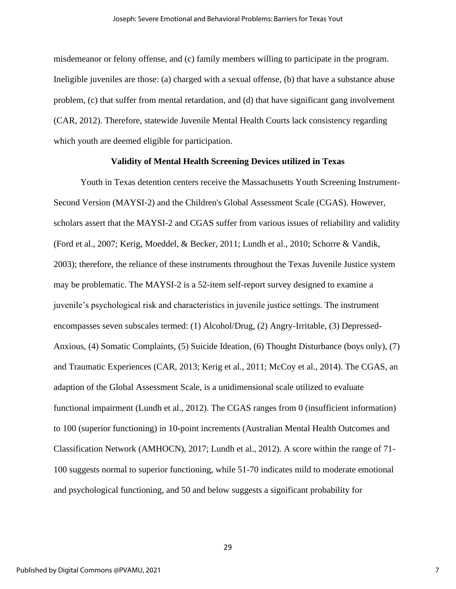misdemeanor or felony offense, and (c) family members willing to participate in the program. Ineligible juveniles are those: (a) charged with a sexual offense, (b) that have a substance abuse problem, (c) that suffer from mental retardation, and (d) that have significant gang involvement (CAR, 2012). Therefore, statewide Juvenile Mental Health Courts lack consistency regarding which youth are deemed eligible for participation.

#### **Validity of Mental Health Screening Devices utilized in Texas**

Youth in Texas detention centers receive the Massachusetts Youth Screening Instrument-Second Version (MAYSI-2) and the Children's Global Assessment Scale (CGAS). However, scholars assert that the MAYSI-2 and CGAS suffer from various issues of reliability and validity (Ford et al., 2007; Kerig, Moeddel, & Becker, 2011; Lundh et al., 2010; Schorre & Vandik, 2003); therefore, the reliance of these instruments throughout the Texas Juvenile Justice system may be problematic. The MAYSI-2 is a 52-item self-report survey designed to examine a juvenile's psychological risk and characteristics in juvenile justice settings. The instrument encompasses seven subscales termed: (1) Alcohol/Drug, (2) Angry-Irritable, (3) Depressed-Anxious, (4) Somatic Complaints, (5) Suicide Ideation, (6) Thought Disturbance (boys only), (7) and Traumatic Experiences (CAR, 2013; Kerig et al., 2011; McCoy et al., 2014). The CGAS, an adaption of the Global Assessment Scale, is a unidimensional scale utilized to evaluate functional impairment (Lundh et al., 2012). The CGAS ranges from 0 (insufficient information) to 100 (superior functioning) in 10-point increments (Australian Mental Health Outcomes and Classification Network (AMHOCN), 2017; Lundh et al., 2012). A score within the range of 71- 100 suggests normal to superior functioning, while 51-70 indicates mild to moderate emotional and psychological functioning, and 50 and below suggests a significant probability for

29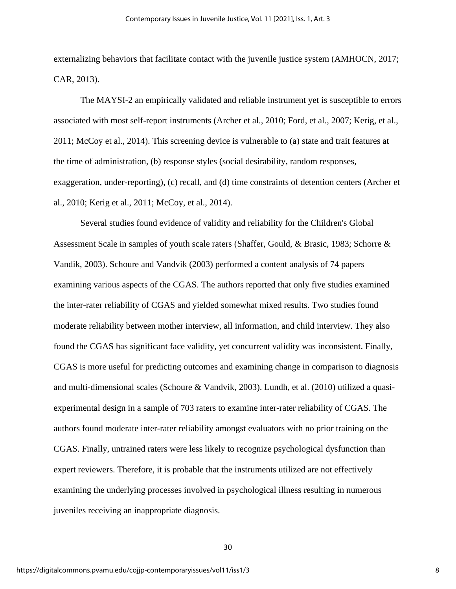externalizing behaviors that facilitate contact with the juvenile justice system (AMHOCN, 2017; CAR, 2013).

The MAYSI-2 an empirically validated and reliable instrument yet is susceptible to errors associated with most self-report instruments (Archer et al., 2010; Ford, et al., 2007; Kerig, et al., 2011; McCoy et al., 2014). This screening device is vulnerable to (a) state and trait features at the time of administration, (b) response styles (social desirability, random responses, exaggeration, under-reporting), (c) recall, and (d) time constraints of detention centers (Archer et al., 2010; Kerig et al., 2011; McCoy, et al., 2014).

Several studies found evidence of validity and reliability for the Children's Global Assessment Scale in samples of youth scale raters (Shaffer, Gould, & Brasic, 1983; Schorre & Vandik, 2003). Schoure and Vandvik (2003) performed a content analysis of 74 papers examining various aspects of the CGAS. The authors reported that only five studies examined the inter-rater reliability of CGAS and yielded somewhat mixed results. Two studies found moderate reliability between mother interview, all information, and child interview. They also found the CGAS has significant face validity, yet concurrent validity was inconsistent. Finally, CGAS is more useful for predicting outcomes and examining change in comparison to diagnosis and multi-dimensional scales (Schoure & Vandvik, 2003). Lundh, et al. (2010) utilized a quasiexperimental design in a sample of 703 raters to examine inter-rater reliability of CGAS. The authors found moderate inter-rater reliability amongst evaluators with no prior training on the CGAS. Finally, untrained raters were less likely to recognize psychological dysfunction than expert reviewers. Therefore, it is probable that the instruments utilized are not effectively examining the underlying processes involved in psychological illness resulting in numerous juveniles receiving an inappropriate diagnosis.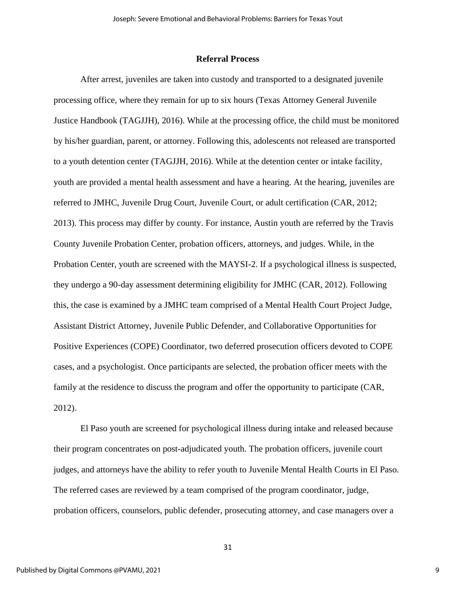#### **Referral Process**

 After arrest, juveniles are taken into custody and transported to a designated juvenile processing office, where they remain for up to six hours (Texas Attorney General Juvenile Justice Handbook (TAGJJH), 2016). While at the processing office, the child must be monitored by his/her guardian, parent, or attorney. Following this, adolescents not released are transported to a youth detention center (TAGJJH, 2016). While at the detention center or intake facility, youth are provided a mental health assessment and have a hearing. At the hearing, juveniles are referred to JMHC, Juvenile Drug Court, Juvenile Court, or adult certification (CAR, 2012; 2013). This process may differ by county. For instance, Austin youth are referred by the Travis County Juvenile Probation Center, probation officers, attorneys, and judges. While, in the Probation Center, youth are screened with the MAYSI-2. If a psychological illness is suspected, they undergo a 90-day assessment determining eligibility for JMHC (CAR, 2012). Following this, the case is examined by a JMHC team comprised of a Mental Health Court Project Judge, Assistant District Attorney, Juvenile Public Defender, and Collaborative Opportunities for Positive Experiences (COPE) Coordinator, two deferred prosecution officers devoted to COPE cases, and a psychologist. Once participants are selected, the probation officer meets with the family at the residence to discuss the program and offer the opportunity to participate (CAR, 2012).

 El Paso youth are screened for psychological illness during intake and released because their program concentrates on post-adjudicated youth. The probation officers, juvenile court judges, and attorneys have the ability to refer youth to Juvenile Mental Health Courts in El Paso. The referred cases are reviewed by a team comprised of the program coordinator, judge, probation officers, counselors, public defender, prosecuting attorney, and case managers over a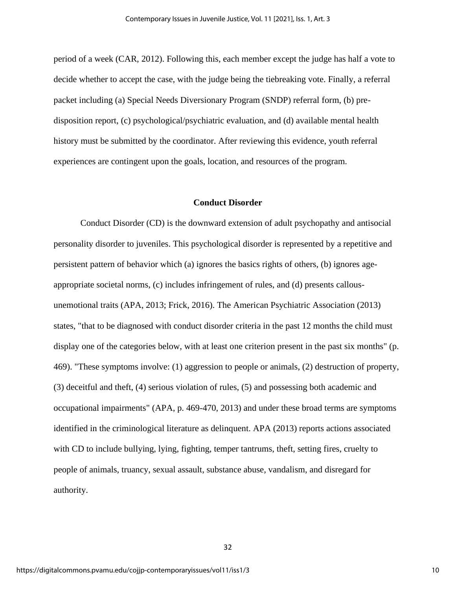period of a week (CAR, 2012). Following this, each member except the judge has half a vote to decide whether to accept the case, with the judge being the tiebreaking vote. Finally, a referral packet including (a) Special Needs Diversionary Program (SNDP) referral form, (b) predisposition report, (c) psychological/psychiatric evaluation, and (d) available mental health history must be submitted by the coordinator. After reviewing this evidence, youth referral experiences are contingent upon the goals, location, and resources of the program.

#### **Conduct Disorder**

 Conduct Disorder (CD) is the downward extension of adult psychopathy and antisocial personality disorder to juveniles. This psychological disorder is represented by a repetitive and persistent pattern of behavior which (a) ignores the basics rights of others, (b) ignores ageappropriate societal norms, (c) includes infringement of rules, and (d) presents callousunemotional traits (APA, 2013; Frick, 2016). The American Psychiatric Association (2013) states, "that to be diagnosed with conduct disorder criteria in the past 12 months the child must display one of the categories below, with at least one criterion present in the past six months" (p. 469). "These symptoms involve: (1) aggression to people or animals, (2) destruction of property, (3) deceitful and theft, (4) serious violation of rules, (5) and possessing both academic and occupational impairments" (APA, p. 469-470, 2013) and under these broad terms are symptoms identified in the criminological literature as delinquent. APA (2013) reports actions associated with CD to include bullying, lying, fighting, temper tantrums, theft, setting fires, cruelty to people of animals, truancy, sexual assault, substance abuse, vandalism, and disregard for authority.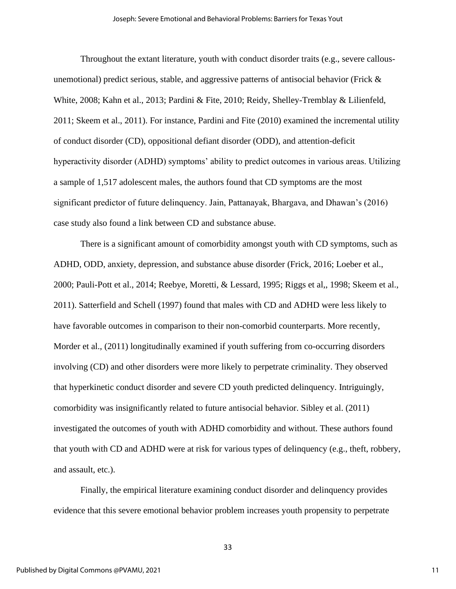Throughout the extant literature, youth with conduct disorder traits (e.g., severe callousunemotional) predict serious, stable, and aggressive patterns of antisocial behavior (Frick  $\&$ White, 2008; Kahn et al., 2013; Pardini & Fite, 2010; Reidy, Shelley-Tremblay & Lilienfeld, 2011; Skeem et al., 2011). For instance, Pardini and Fite (2010) examined the incremental utility of conduct disorder (CD), oppositional defiant disorder (ODD), and attention-deficit hyperactivity disorder (ADHD) symptoms' ability to predict outcomes in various areas. Utilizing a sample of 1,517 adolescent males, the authors found that CD symptoms are the most significant predictor of future delinquency. Jain, Pattanayak, Bhargava, and Dhawan's (2016) case study also found a link between CD and substance abuse.

There is a significant amount of comorbidity amongst youth with CD symptoms, such as ADHD, ODD, anxiety, depression, and substance abuse disorder (Frick, 2016; Loeber et al., 2000; Pauli-Pott et al., 2014; Reebye, Moretti, & Lessard, 1995; Riggs et al,, 1998; Skeem et al., 2011). Satterfield and Schell (1997) found that males with CD and ADHD were less likely to have favorable outcomes in comparison to their non-comorbid counterparts. More recently, Morder et al., (2011) longitudinally examined if youth suffering from co-occurring disorders involving (CD) and other disorders were more likely to perpetrate criminality. They observed that hyperkinetic conduct disorder and severe CD youth predicted delinquency. Intriguingly, comorbidity was insignificantly related to future antisocial behavior. Sibley et al. (2011) investigated the outcomes of youth with ADHD comorbidity and without. These authors found that youth with CD and ADHD were at risk for various types of delinquency (e.g., theft, robbery, and assault, etc.).

Finally, the empirical literature examining conduct disorder and delinquency provides evidence that this severe emotional behavior problem increases youth propensity to perpetrate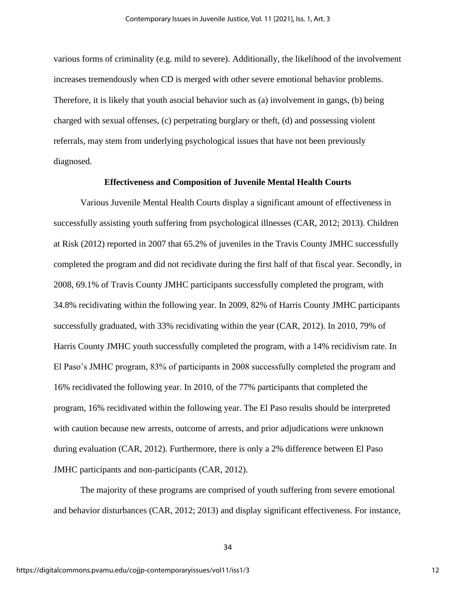various forms of criminality (e.g. mild to severe). Additionally, the likelihood of the involvement increases tremendously when CD is merged with other severe emotional behavior problems. Therefore, it is likely that youth asocial behavior such as (a) involvement in gangs, (b) being charged with sexual offenses, (c) perpetrating burglary or theft, (d) and possessing violent referrals, may stem from underlying psychological issues that have not been previously diagnosed.

#### **Effectiveness and Composition of Juvenile Mental Health Courts**

Various Juvenile Mental Health Courts display a significant amount of effectiveness in successfully assisting youth suffering from psychological illnesses (CAR, 2012; 2013). Children at Risk (2012) reported in 2007 that 65.2% of juveniles in the Travis County JMHC successfully completed the program and did not recidivate during the first half of that fiscal year. Secondly, in 2008, 69.1% of Travis County JMHC participants successfully completed the program, with 34.8% recidivating within the following year. In 2009, 82% of Harris County JMHC participants successfully graduated, with 33% recidivating within the year (CAR, 2012). In 2010, 79% of Harris County JMHC youth successfully completed the program, with a 14% recidivism rate. In El Paso's JMHC program, 83% of participants in 2008 successfully completed the program and 16% recidivated the following year. In 2010, of the 77% participants that completed the program, 16% recidivated within the following year. The El Paso results should be interpreted with caution because new arrests, outcome of arrests, and prior adjudications were unknown during evaluation (CAR, 2012). Furthermore, there is only a 2% difference between El Paso JMHC participants and non-participants (CAR, 2012).

The majority of these programs are comprised of youth suffering from severe emotional and behavior disturbances (CAR, 2012; 2013) and display significant effectiveness. For instance,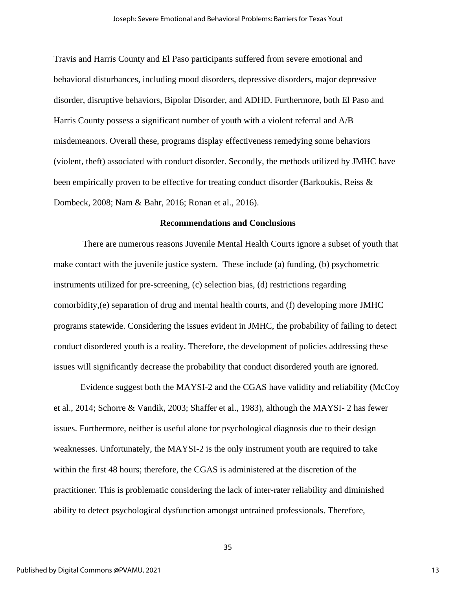Travis and Harris County and El Paso participants suffered from severe emotional and behavioral disturbances, including mood disorders, depressive disorders, major depressive disorder, disruptive behaviors, Bipolar Disorder, and ADHD. Furthermore, both El Paso and Harris County possess a significant number of youth with a violent referral and A/B misdemeanors. Overall these, programs display effectiveness remedying some behaviors (violent, theft) associated with conduct disorder. Secondly, the methods utilized by JMHC have been empirically proven to be effective for treating conduct disorder (Barkoukis, Reiss & Dombeck, 2008; Nam & Bahr, 2016; Ronan et al., 2016).

#### **Recommendations and Conclusions**

 There are numerous reasons Juvenile Mental Health Courts ignore a subset of youth that make contact with the juvenile justice system. These include (a) funding, (b) psychometric instruments utilized for pre-screening, (c) selection bias, (d) restrictions regarding comorbidity,(e) separation of drug and mental health courts, and (f) developing more JMHC programs statewide. Considering the issues evident in JMHC, the probability of failing to detect conduct disordered youth is a reality. Therefore, the development of policies addressing these issues will significantly decrease the probability that conduct disordered youth are ignored.

Evidence suggest both the MAYSI-2 and the CGAS have validity and reliability (McCoy et al., 2014; Schorre & Vandik, 2003; Shaffer et al., 1983), although the MAYSI- 2 has fewer issues. Furthermore, neither is useful alone for psychological diagnosis due to their design weaknesses. Unfortunately, the MAYSI-2 is the only instrument youth are required to take within the first 48 hours; therefore, the CGAS is administered at the discretion of the practitioner. This is problematic considering the lack of inter-rater reliability and diminished ability to detect psychological dysfunction amongst untrained professionals. Therefore,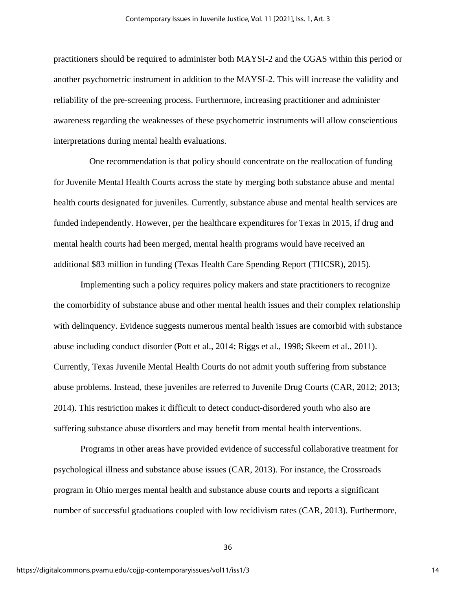practitioners should be required to administer both MAYSI-2 and the CGAS within this period or another psychometric instrument in addition to the MAYSI-2. This will increase the validity and reliability of the pre-screening process. Furthermore, increasing practitioner and administer awareness regarding the weaknesses of these psychometric instruments will allow conscientious interpretations during mental health evaluations.

 One recommendation is that policy should concentrate on the reallocation of funding for Juvenile Mental Health Courts across the state by merging both substance abuse and mental health courts designated for juveniles. Currently, substance abuse and mental health services are funded independently. However, per the healthcare expenditures for Texas in 2015, if drug and mental health courts had been merged, mental health programs would have received an additional \$83 million in funding (Texas Health Care Spending Report (THCSR), 2015).

Implementing such a policy requires policy makers and state practitioners to recognize the comorbidity of substance abuse and other mental health issues and their complex relationship with delinquency. Evidence suggests numerous mental health issues are comorbid with substance abuse including conduct disorder (Pott et al., 2014; Riggs et al., 1998; Skeem et al., 2011). Currently, Texas Juvenile Mental Health Courts do not admit youth suffering from substance abuse problems. Instead, these juveniles are referred to Juvenile Drug Courts (CAR, 2012; 2013; 2014). This restriction makes it difficult to detect conduct-disordered youth who also are suffering substance abuse disorders and may benefit from mental health interventions.

Programs in other areas have provided evidence of successful collaborative treatment for psychological illness and substance abuse issues (CAR, 2013). For instance, the Crossroads program in Ohio merges mental health and substance abuse courts and reports a significant number of successful graduations coupled with low recidivism rates (CAR, 2013). Furthermore,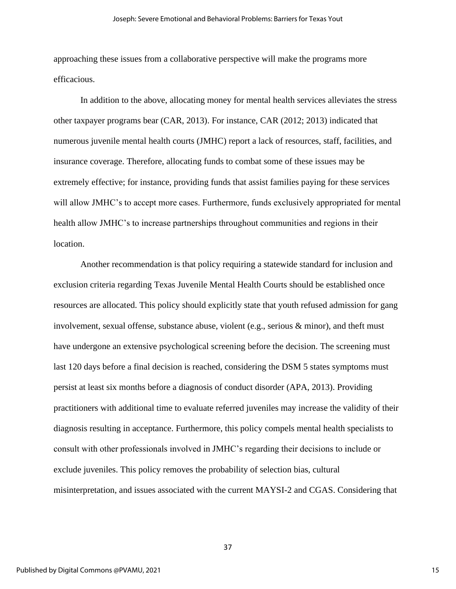approaching these issues from a collaborative perspective will make the programs more efficacious.

In addition to the above, allocating money for mental health services alleviates the stress other taxpayer programs bear (CAR, 2013). For instance, CAR (2012; 2013) indicated that numerous juvenile mental health courts (JMHC) report a lack of resources, staff, facilities, and insurance coverage. Therefore, allocating funds to combat some of these issues may be extremely effective; for instance, providing funds that assist families paying for these services will allow JMHC's to accept more cases. Furthermore, funds exclusively appropriated for mental health allow JMHC's to increase partnerships throughout communities and regions in their location.

Another recommendation is that policy requiring a statewide standard for inclusion and exclusion criteria regarding Texas Juvenile Mental Health Courts should be established once resources are allocated. This policy should explicitly state that youth refused admission for gang involvement, sexual offense, substance abuse, violent (e.g., serious & minor), and theft must have undergone an extensive psychological screening before the decision. The screening must last 120 days before a final decision is reached, considering the DSM 5 states symptoms must persist at least six months before a diagnosis of conduct disorder (APA, 2013). Providing practitioners with additional time to evaluate referred juveniles may increase the validity of their diagnosis resulting in acceptance. Furthermore, this policy compels mental health specialists to consult with other professionals involved in JMHC's regarding their decisions to include or exclude juveniles. This policy removes the probability of selection bias, cultural misinterpretation, and issues associated with the current MAYSI-2 and CGAS. Considering that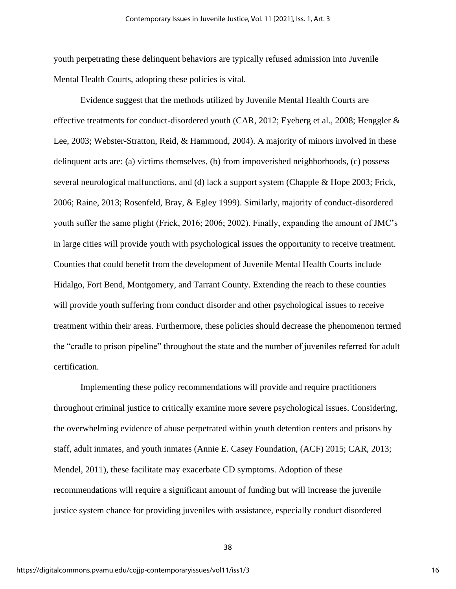youth perpetrating these delinquent behaviors are typically refused admission into Juvenile Mental Health Courts, adopting these policies is vital.

Evidence suggest that the methods utilized by Juvenile Mental Health Courts are effective treatments for conduct-disordered youth (CAR, 2012; Eyeberg et al., 2008; Henggler & Lee, 2003; Webster-Stratton, Reid, & Hammond, 2004). A majority of minors involved in these delinquent acts are: (a) victims themselves, (b) from impoverished neighborhoods, (c) possess several neurological malfunctions, and (d) lack a support system (Chapple & Hope 2003; Frick, 2006; Raine, 2013; Rosenfeld, Bray, & Egley 1999). Similarly, majority of conduct-disordered youth suffer the same plight (Frick, 2016; 2006; 2002). Finally, expanding the amount of JMC's in large cities will provide youth with psychological issues the opportunity to receive treatment. Counties that could benefit from the development of Juvenile Mental Health Courts include Hidalgo, Fort Bend, Montgomery, and Tarrant County. Extending the reach to these counties will provide youth suffering from conduct disorder and other psychological issues to receive treatment within their areas. Furthermore, these policies should decrease the phenomenon termed the "cradle to prison pipeline" throughout the state and the number of juveniles referred for adult certification.

Implementing these policy recommendations will provide and require practitioners throughout criminal justice to critically examine more severe psychological issues. Considering, the overwhelming evidence of abuse perpetrated within youth detention centers and prisons by staff, adult inmates, and youth inmates (Annie E. Casey Foundation, (ACF) 2015; CAR, 2013; Mendel, 2011), these facilitate may exacerbate CD symptoms. Adoption of these recommendations will require a significant amount of funding but will increase the juvenile justice system chance for providing juveniles with assistance, especially conduct disordered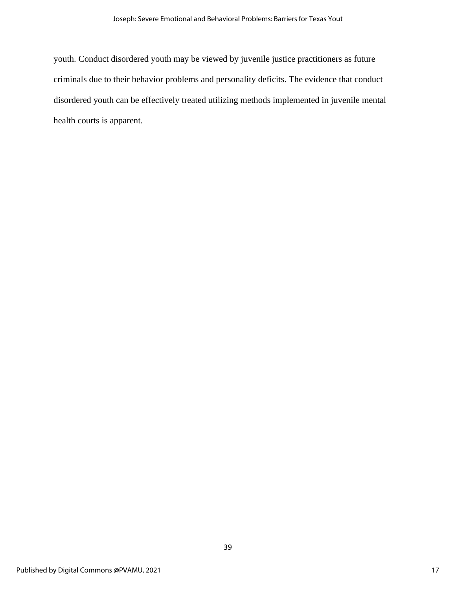youth. Conduct disordered youth may be viewed by juvenile justice practitioners as future criminals due to their behavior problems and personality deficits. The evidence that conduct disordered youth can be effectively treated utilizing methods implemented in juvenile mental health courts is apparent.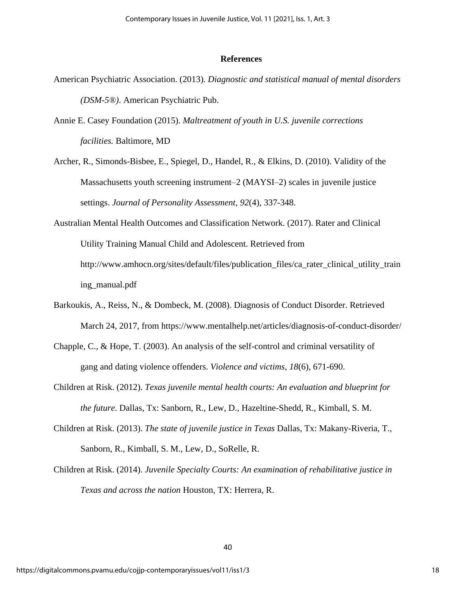#### **References**

- American Psychiatric Association. (2013). *Diagnostic and statistical manual of mental disorders (DSM-5®)*. American Psychiatric Pub.
- Annie E. Casey Foundation (2015). *Maltreatment of youth in U.S. juvenile corrections facilities.* Baltimore, MD

Archer, R., Simonds-Bisbee, E., Spiegel, D., Handel, R., & Elkins, D. (2010). Validity of the Massachusetts youth screening instrument–2 (MAYSI–2) scales in juvenile justice settings. *Journal of Personality Assessment*, *92*(4), 337-348.

- Australian Mental Health Outcomes and Classification Network. (2017). Rater and Clinical Utility Training Manual Child and Adolescent. Retrieved from http://www.amhocn.org/sites/default/files/publication files/ca\_rater\_clinical\_utility\_train ing\_manual.pdf
- Barkoukis, A., Reiss, N., & Dombeck, M. (2008). Diagnosis of Conduct Disorder. Retrieved March 24, 2017, from<https://www.mentalhelp.net/articles/diagnosis-of-conduct-disorder/>
- Chapple, C., & Hope, T. (2003). An analysis of the self-control and criminal versatility of gang and dating violence offenders. *Violence and victims*, *18*(6), 671-690.
- Children at Risk. (2012). *Texas juvenile mental health courts: An evaluation and blueprint for the future*. Dallas, Tx: Sanborn, R., Lew, D., Hazeltine-Shedd, R., Kimball, S. M.
- Children at Risk. (2013). *The state of juvenile justice in Texas* Dallas, Tx: Makany-Riveria, T., Sanborn, R., Kimball, S. M., Lew, D., SoRelle, R.
- Children at Risk. (2014). *Juvenile Specialty Courts: An examination of rehabilitative justice in Texas and across the nation* Houston, TX: Herrera, R.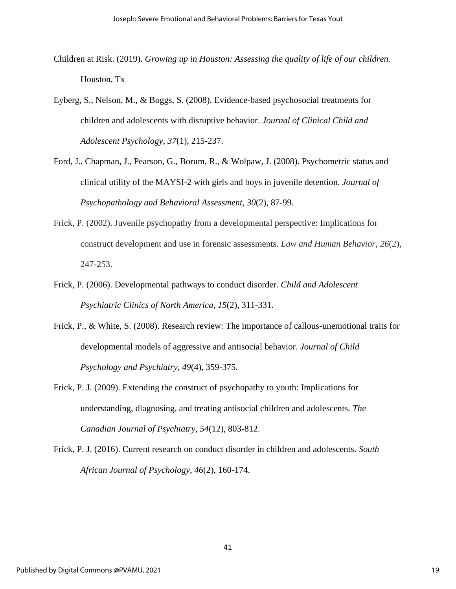- Children at Risk. (2019). *Growing up in Houston: Assessing the quality of life of our children.* Houston, Tx
- Eyberg, S., Nelson, M., & Boggs, S. (2008). Evidence-based psychosocial treatments for children and adolescents with disruptive behavior. *Journal of Clinical Child and Adolescent Psychology*, *37*(1), 215-237.
- Ford, J., Chapman, J., Pearson, G., Borum, R., & Wolpaw, J. (2008). Psychometric status and clinical utility of the MAYSI-2 with girls and boys in juvenile detention. *Journal of Psychopathology and Behavioral Assessment*, *30*(2), 87-99.
- Frick, P. (2002). Juvenile psychopathy from a developmental perspective: Implications for construct development and use in forensic assessments. *Law and Human Behavior*, *26*(2), 247-253.
- Frick, P. (2006). Developmental pathways to conduct disorder. *Child and Adolescent Psychiatric Clinics of North America*, *15*(2), 311-331.
- Frick, P., & White, S. (2008). Research review: The importance of callous-unemotional traits for developmental models of aggressive and antisocial behavior. *Journal of Child Psychology and Psychiatry*, *49*(4), 359-375.
- Frick, P. J. (2009). Extending the construct of psychopathy to youth: Implications for understanding, diagnosing, and treating antisocial children and adolescents. *The Canadian Journal of Psychiatry*, *54*(12), 803-812.
- Frick, P. J. (2016). Current research on conduct disorder in children and adolescents. *South African Journal of Psychology*, *46*(2), 160-174.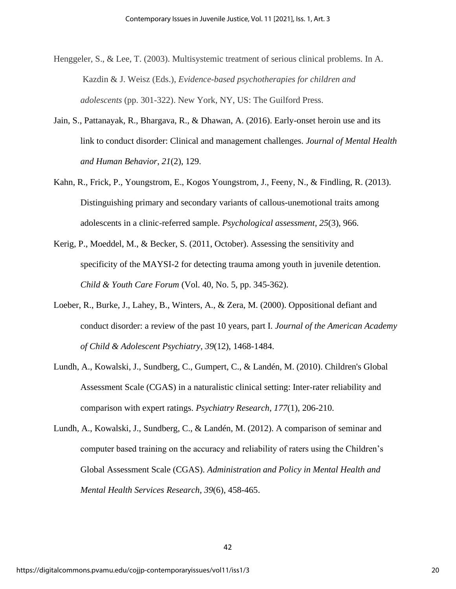- Henggeler, S., & Lee, T. (2003). Multisystemic treatment of serious clinical problems. In A. Kazdin & J. Weisz (Eds.), *Evidence-based psychotherapies for children and adolescents* (pp. 301-322). New York, NY, US: The Guilford Press.
- Jain, S., Pattanayak, R., Bhargava, R., & Dhawan, A. (2016). Early-onset heroin use and its link to conduct disorder: Clinical and management challenges. *Journal of Mental Health and Human Behavior*, *21*(2), 129.
- Kahn, R., Frick, P., Youngstrom, E., Kogos Youngstrom, J., Feeny, N., & Findling, R. (2013). Distinguishing primary and secondary variants of callous-unemotional traits among adolescents in a clinic-referred sample. *Psychological assessment*, *25*(3), 966.
- Kerig, P., Moeddel, M., & Becker, S. (2011, October). Assessing the sensitivity and specificity of the MAYSI-2 for detecting trauma among youth in juvenile detention. *Child & Youth Care Forum* (Vol. 40, No. 5, pp. 345-362).
- Loeber, R., Burke, J., Lahey, B., Winters, A., & Zera, M. (2000). Oppositional defiant and conduct disorder: a review of the past 10 years, part I. *Journal of the American Academy of Child & Adolescent Psychiatry*, *39*(12), 1468-1484.
- Lundh, A., Kowalski, J., Sundberg, C., Gumpert, C., & Landén, M. (2010). Children's Global Assessment Scale (CGAS) in a naturalistic clinical setting: Inter-rater reliability and comparison with expert ratings. *Psychiatry Research*, *177*(1), 206-210.
- Lundh, A., Kowalski, J., Sundberg, C., & Landén, M. (2012). A comparison of seminar and computer based training on the accuracy and reliability of raters using the Children's Global Assessment Scale (CGAS). *Administration and Policy in Mental Health and Mental Health Services Research*, *39*(6), 458-465.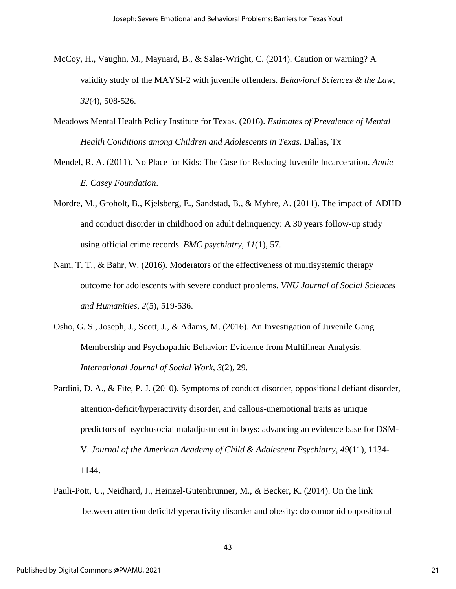- McCoy, H., Vaughn, M., Maynard, B., & Salas‐Wright, C. (2014). Caution or warning? A validity study of the MAYSI‐2 with juvenile offenders. *Behavioral Sciences & the Law*, *32*(4), 508-526.
- Meadows Mental Health Policy Institute for Texas. (2016). *Estimates of Prevalence of Mental Health Conditions among Children and Adolescents in Texas*. Dallas, Tx
- Mendel, R. A. (2011). No Place for Kids: The Case for Reducing Juvenile Incarceration. *Annie E. Casey Foundation*.
- Mordre, M., Groholt, B., Kjelsberg, E., Sandstad, B., & Myhre, A. (2011). The impact of ADHD and conduct disorder in childhood on adult delinquency: A 30 years follow-up study using official crime records. *BMC psychiatry*, *11*(1), 57.
- Nam, T. T., & Bahr, W. (2016). Moderators of the effectiveness of multisystemic therapy outcome for adolescents with severe conduct problems. *VNU Journal of Social Sciences and Humanities*, *2*(5), 519-536.
- Osho, G. S., Joseph, J., Scott, J., & Adams, M. (2016). An Investigation of Juvenile Gang Membership and Psychopathic Behavior: Evidence from Multilinear Analysis. *International Journal of Social Work*, *3*(2), 29.
- Pardini, D. A., & Fite, P. J. (2010). Symptoms of conduct disorder, oppositional defiant disorder, attention-deficit/hyperactivity disorder, and callous-unemotional traits as unique predictors of psychosocial maladjustment in boys: advancing an evidence base for DSM-V. *Journal of the American Academy of Child & Adolescent Psychiatry*, *49*(11), 1134- 1144.
- Pauli-Pott, U., Neidhard, J., Heinzel-Gutenbrunner, M., & Becker, K. (2014). On the link between attention deficit/hyperactivity disorder and obesity: do comorbid oppositional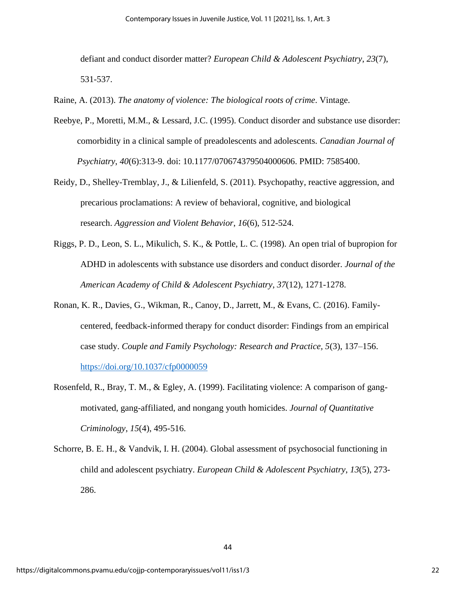defiant and conduct disorder matter? *European Child & Adolescent Psychiatry*, *23*(7), 531-537.

Raine, A. (2013). *The anatomy of violence: The biological roots of crime*. Vintage.

- Reebye, P., Moretti, M.M., & Lessard, J.C. (1995). Conduct disorder and substance use disorder: comorbidity in a clinical sample of preadolescents and adolescents. *Canadian Journal of Psychiatry*, *40*(6):313-9. doi: 10.1177/070674379504000606. PMID: 7585400.
- Reidy, D., Shelley-Tremblay, J., & Lilienfeld, S. (2011). Psychopathy, reactive aggression, and precarious proclamations: A review of behavioral, cognitive, and biological research. *Aggression and Violent Behavior*, *16*(6), 512-524.
- Riggs, P. D., Leon, S. L., Mikulich, S. K., & Pottle, L. C. (1998). An open trial of bupropion for ADHD in adolescents with substance use disorders and conduct disorder. *Journal of the American Academy of Child & Adolescent Psychiatry*, *37*(12), 1271-1278.
- Ronan, K. R., Davies, G., Wikman, R., Canoy, D., Jarrett, M., & Evans, C. (2016). Familycentered, feedback-informed therapy for conduct disorder: Findings from an empirical case study. *Couple and Family Psychology: Research and Practice, 5*(3), 137–156. <https://doi.org/10.1037/cfp0000059>
- Rosenfeld, R., Bray, T. M., & Egley, A. (1999). Facilitating violence: A comparison of gangmotivated, gang-affiliated, and nongang youth homicides. *Journal of Quantitative Criminology*, *15*(4), 495-516.
- Schorre, B. E. H., & Vandvik, I. H. (2004). Global assessment of psychosocial functioning in child and adolescent psychiatry. *European Child & Adolescent Psychiatry*, *13*(5), 273- 286.